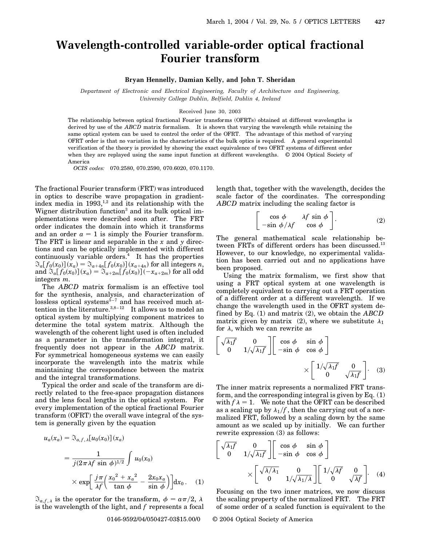# **Wavelength-controlled variable-order optical fractional Fourier transform**

## **Bryan Hennelly, Damian Kelly, and John T. Sheridan**

*Department of Electronic and Electrical Engineering, Faculty of Architecture and Engineering, University College Dublin, Belfield, Dublin 4, Ireland*

#### Received June 30, 2003

The relationship between optical fractional Fourier transforms (OFRTs) obtained at different wavelengths is derived by use of the *ABCD* matrix formalism. It is shown that varying the wavelength while retaining the same optical system can be used to control the order of the OFRT. The advantage of this method of varying OFRT order is that no variation in the characteristics of the bulk optics is required. A general experimental verification of the theory is provided by showing the exact equivalence of two OFRT systems of different order when they are replayed using the same input function at different wavelengths. © 2004 Optical Society of America

*OCIS codes:* 070.2580, 070.2590, 070.6020, 070.1170.

The fractional Fourier transform (FRT) was introduced in optics to describe wave propagation in gradientindex media in  $1993$ ,<sup>1,2</sup> and its relationship with the Wigner distribution function<sup>3</sup> and its bulk optical implementations were described soon after. The FRT order indicates the domain into which it transforms and an order  $a = 1$  is simply the Fourier transform. The FRT is linear and separable in the *x* and *y* directions and can be optically implemented with different continuously variable orders. $<sup>4</sup>$  It has the properties</sup>  $\Im_a[f_0(x_0)](x_a) = \Im_{a+4n}[f_0(x_0)](x_{a+4n})$  for all integers *n*, and  $\Im_a[f_0(x_0)](x_a) = \Im_{a+2m}[f_0(x_0)](-x_{a+2m})$  for all odd integers *m*.

The *ABCD* matrix formalism is an effective tool for the synthesis, analysis, and characterization of lossless optical systems $5-7$  and has received much attention in the literature. $3,8-12$  It allows us to model an optical system by multiplying component matrices to determine the total system matrix. Although the wavelength of the coherent light used is often included as a parameter in the transformation integral, it frequently does not appear in the *ABCD* matrix. For symmetrical homogeneous systems we can easily incorporate the wavelength into the matrix while maintaining the correspondence between the matrix and the integral transformations.

Typical the order and scale of the transform are directly related to the free-space propagation distances and the lens focal lengths in the optical system. For every implementation of the optical fractional Fourier transform (OFRT) the overall wave integral of the system is generally given by the equation

$$
u_a(x_a) = \mathfrak{F}_{a,f,\lambda}[u_0(x_0)](x_a)
$$
  
= 
$$
\frac{1}{j(2\pi\lambda f \sin\phi)^{1/2}} \int u_0(x_0)
$$
  

$$
\times \exp\left[\frac{j\pi}{\lambda f}\left(\frac{x_0^2 + x_a^2}{\tan\phi} - \frac{2x_0x_a}{\sin\phi}\right)\right]dx_0.
$$
 (1)

 $\mathfrak{F}_{a,f,\lambda}$  is the operator for the transform,  $\phi = a\pi/2$ ,  $\lambda$ is the wavelength of the light, and *f* represents a focal length that, together with the wavelength, decides the scale factor of the coordinates. The corresponding *ABCD* matrix including the scaling factor is

$$
\begin{bmatrix}\n\cos \phi & \lambda f \sin \phi \\
-\sin \phi/\lambda f & \cos \phi\n\end{bmatrix}.
$$
\n(2)

The general mathematical scale relationship between FRTs of different orders has been discussed.<sup>13</sup> However, to our knowledge, no experimental validation has been carried out and no applications have been proposed.

Using the matrix formalism, we first show that using a FRT optical system at one wavelength is completely equivalent to carrying out a FRT operation of a different order at a different wavelength. If we change the wavelength used in the OFRT system defined by Eq. (1) and matrix (2), we obtain the *ABCD* matrix given by matrix (2), where we substitute  $\lambda_1$ for  $\lambda$ , which we can rewrite as

$$
\begin{bmatrix}\n\sqrt{\lambda_1 f} & 0 \\
0 & 1/\sqrt{\lambda_1 f}\n\end{bmatrix}\n\begin{bmatrix}\n\cos \phi & \sin \phi \\
-\sin \phi & \cos \phi\n\end{bmatrix}\n\times\n\begin{bmatrix}\n1/\sqrt{\lambda_1 f} & 0 \\
0 & \sqrt{\lambda_1 f}\n\end{bmatrix}.
$$
\n(3)

The inner matrix represents a normalized FRT transform, and the corresponding integral is given by Eq.  $(1)$ with  $f \lambda = 1$ . We note that the OFRT can be described as a scaling up by  $\lambda_1/f$ , then the carrying out of a normalized FRT, followed by a scaling down by the same amount as we scaled up by initially. We can further rewrite expression (3) as follows:

$$
\begin{bmatrix}\n\sqrt{\lambda_1 f} & 0 \\
0 & 1/\sqrt{\lambda_1 f}\n\end{bmatrix}\n\begin{bmatrix}\n\cos \phi & \sin \phi \\
-\sin \phi & \cos \phi\n\end{bmatrix}\n\times\n\begin{bmatrix}\n\sqrt{\lambda/\lambda_1} & 0 \\
0 & 1/\sqrt{\lambda_1/\lambda}\n\end{bmatrix}\n\begin{bmatrix}\n1/\sqrt{\lambda f} & 0 \\
0 & \sqrt{\lambda f}\n\end{bmatrix}.
$$
\n(4)

Focusing on the two inner matrices, we now discuss the scaling property of the normalized FRT. The FRT of some order of a scaled function is equivalent to the

### 0146-9592/04/050427-03\$15.00/0 © 2004 Optical Society of America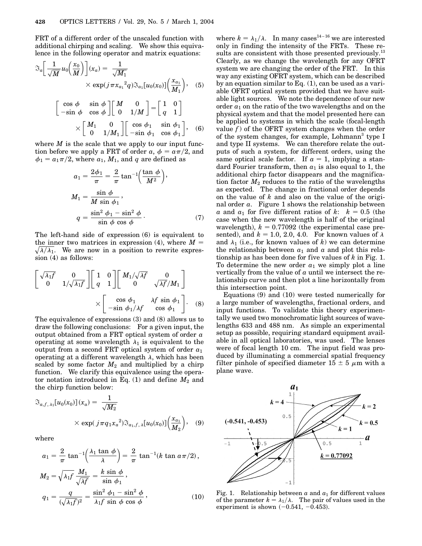FRT of a different order of the unscaled function with additional chirping and scaling. We show this equivalence in the following operator and matrix equations:

$$
\Im_a \left[ \frac{1}{\sqrt{M}} u_0 \left( \frac{x_0}{M} \right) \right] (x_a) = \frac{1}{\sqrt{M_1}} \times \exp(j \pi x_{a_1}^2 q) \Im_{a_1} [u_0(x_0)] \left( \frac{x_{a_1}}{M_1} \right), \quad (5)
$$

$$
\left[ \begin{array}{cc} \cos \phi & \sin \phi \\ -\sin \phi & \cos \phi \end{array} \right] \left[ \begin{array}{cc} M & 0 \\ 0 & 1/M \end{array} \right] = \left[ \begin{array}{cc} 1 & 0 \\ q & 1 \end{array} \right]
$$

$$
\times \left[ \begin{array}{cc} M_1 & 0 \\ 0 & 1/M_1 \end{array} \right] \left[ \begin{array}{cc} \cos \phi_1 & \sin \phi_1 \\ -\sin \phi_1 & \cos \phi_1 \end{array} \right], \quad (6)
$$

where  $M$  is the scale that we apply to our input function before we apply a FRT of order  $a, \phi = a\pi/2$ , and  $\phi_1 = a_1\pi/2$ , where  $a_1$ ,  $M_1$ , and  $q$  are defined as

$$
a_1 = \frac{2\phi_1}{\pi} = \frac{2}{\pi} \tan^{-1} \left(\frac{\tan \phi}{M^2}\right),
$$
  
\n
$$
M_1 = \frac{\sin \phi}{M \sin \phi_1},
$$
  
\n
$$
q = \frac{\sin^2 \phi_1 - \sin^2 \phi}{\sin \phi \cos \phi}.
$$
 (7)

The left-hand side of expression (6) is equivalent to the inner two matrices in expression (4), where  $M = \sqrt{N/\lambda}$  $\sqrt{\lambda/\lambda_1}$ . We are now in a position to rewrite expression (4) as follows:

$$
\begin{bmatrix}\n\sqrt{\lambda_1 f} & 0 \\
0 & 1/\sqrt{\lambda_1 f}\n\end{bmatrix}\n\begin{bmatrix}\n1 & 0 \\
q & 1\n\end{bmatrix}\n\begin{bmatrix}\nM_1/\sqrt{\lambda f} & 0 \\
0 & \sqrt{\lambda f}/M_1\n\end{bmatrix}\n\times\n\begin{bmatrix}\n\cos \phi_1 & \lambda f \sin \phi_1 \\
-\sin \phi_1/\lambda f & \cos \phi_1\n\end{bmatrix}.
$$
\n(8)

The equivalence of expressions (3) and (8) allows us to draw the following conclusions: For a given input, the output obtained from a FRT optical system of order *a* operating at some wavelength  $\lambda_1$  is equivalent to the output from a second FRT optical system of order *a*<sup>1</sup> operating at a different wavelength  $\lambda$ , which has been scaled by some factor  $M_2$  and multiplied by a chirp function. We clarify this equivalence using the operator notation introduced in Eq.  $(1)$  and define  $M_2$  and the chirp function below:

$$
\Im_{a,f,\lambda_1}[u_0(x_0)](x_a) = \frac{1}{\sqrt{M_2}}\n\times \exp(j\pi q_1 x_a^2) \Im_{a_1,f,\lambda}[u_0(x_0)]\left(\frac{x_{a_1}}{M_2}\right),
$$
 (9)

where

$$
a_1 = \frac{2}{\pi} \tan^{-1} \left( \frac{\lambda_1 \tan \phi}{\lambda} \right) = \frac{2}{\pi} \tan^{-1} (k \tan \alpha \pi / 2),
$$
  
\n
$$
M_2 = \sqrt{\lambda_1 f} \frac{M_1}{\sqrt{\lambda f}} = \frac{k \sin \phi}{\sin \phi_1},
$$
  
\n
$$
q_1 = \frac{q}{(\sqrt{\lambda_1 f})^2} = \frac{\sin^2 \phi_1 - \sin^2 \phi}{\lambda_1 f \sin \phi \cos \phi},
$$
\n(10)

where  $k = \lambda_1/\lambda$ . In many cases<sup>14-16</sup> we are interested only in finding the intensity of the FRTs. These results are consistent with those presented previously.<sup>13</sup> Clearly, as we change the wavelength for any OFRT system we are changing the order of the FRT. In this way any existing OFRT system, which can be described by an equation similar to Eq. (1), can be used as a variable OFRT optical system provided that we have suitable light sources. We note the dependence of our new order  $a_1$  on the ratio of the two wavelengths and on the physical system and that the model presented here can be applied to systems in which the scale (focal-length value  $f$ ) of the OFRT system changes when the order of the system changes, for example, Lohmann<sup>3</sup> type I and type II systems. We can therefore relate the outputs of such a system, for different orders, using the same optical scale factor. If  $a = 1$ , implying a standard Fourier transform, then  $a_1$  is also equal to 1, the additional chirp factor disappears and the magnification factor  $M_2$  reduces to the ratio of the wavelengths as expected. The change in fractional order depends on the value of *k* and also on the value of the original order *a*. Figure 1 shows the relationship between *a* and  $a_1$  for five different ratios of *k*:  $k = 0.5$  (the case when the new wavelength is half of the original wavelength),  $k = 0.77092$  (the experimental case presented), and  $k = 1.0, 2.0, 4.0$ . For known values of  $\lambda$ and  $\lambda_1$  (i.e., for known values of *k*) we can determine the relationship between  $a_1$  and  $a$  and plot this relationship as has been done for five values of *k* in Fig. 1. To determine the new order  $a_1$  we simply plot a line vertically from the value of *a* until we intersect the relationship curve and then plot a line horizontally from this intersection point.

Equations (9) and (10) were tested numerically for a large number of wavelengths, fractional orders, and input functions. To validate this theory experimentally we used two monochromatic light sources of wavelengths 633 and 488 nm. As simple an experimental setup as possible, requiring standard equipment available in all optical laboratories, was used. The lenses were of focal length 10 cm. The input field was produced by illuminating a commercial spatial frequency filter pinhole of specified diameter  $15 \pm 5 \mu$ m with a plane wave.



Fig. 1. Relationship between  $a$  and  $a_1$  for different values of the parameter  $k = \lambda_1/\lambda$ . The pair of values used in the experiment is shown  $(-0.541, -0.453)$ .